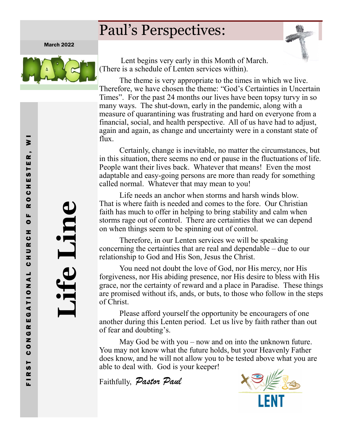# Paul's Perspectives:

March 2022



 Lent begins very early in this Month of March. (There is a schedule of Lenten services within).

The theme is very appropriate to the times in which we live. Therefore, we have chosen the theme: "God's Certainties in Uncertain Times". For the past 24 months our lives have been topsy turvy in so many ways. The shut-down, early in the pandemic, along with a measure of quarantining was frustrating and hard on everyone from a financial, social, and health perspective. All of us have had to adjust, again and again, as change and uncertainty were in a constant state of flux.

Certainly, change is inevitable, no matter the circumstances, but in this situation, there seems no end or pause in the fluctuations of life. People want their lives back. Whatever that means! Even the most adaptable and easy-going persons are more than ready for something called normal. Whatever that may mean to you!

Life needs an anchor when storms and harsh winds blow. That is where faith is needed and comes to the fore. Our Christian faith has much to offer in helping to bring stability and calm when storms rage out of control. There are certainties that we can depend on when things seem to be spinning out of control.

Therefore, in our Lenten services we will be speaking concerning the certainties that are real and dependable – due to our relationship to God and His Son, Jesus the Christ.

You need not doubt the love of God, nor His mercy, nor His forgiveness, nor His abiding presence, nor His desire to bless with His grace, nor the certainty of reward and a place in Paradise. These things are promised without ifs, ands, or buts, to those who follow in the steps of Christ.

Please afford yourself the opportunity be encouragers of one another during this Lenten period. Let us live by faith rather than out of fear and doubting's.

May God be with you – now and on into the unknown future. You may not know what the future holds, but your Heavenly Father does know, and he will not allow you to be tested above what you are able to deal with. God is your keeper!

Faithfully, *Pastor Paul*



**Life Line**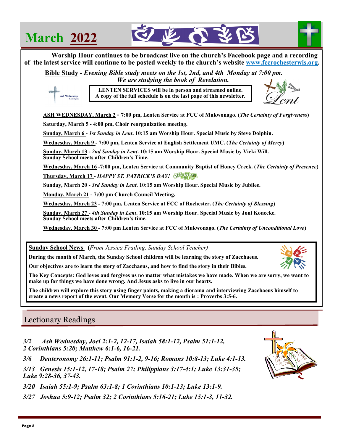## **March 2022**

Ash Wednesday





 **Bible Study -** *Evening Bible study meets on the 1st, 2nd, and 4th Monday at 7:00 pm. We are studying the book of Revelation.* 

> **LENTEN SERVICES will be in person and streamed online. A copy of the full schedule is on the last page of this newsletter.**



**ASH WEDNESDAY, March 2 - 7:00 pm, Lenten Service at FCC of Mukwonago. (***The Certainty of Forgiveness***)** 

**Saturday, March 5 - 4:00 pm, Choir reorganization meeting.**

**Sunday, March 6 -** *1st Sunday in Lent***. 10:15 am Worship Hour. Special Music by Steve Dolphin.**

**Wednesday, March 9 - 7:00 pm, Lenten Service at English Settlement UMC. (***The Certainty of Mercy***)**

**Sunday, March 13 -** *2nd Sunday in Lent***. 10:15 am Worship Hour. Special Music by Vicki Will. Sunday School meets after Children's Time.**

**Wednesday, March 16 -7:00 pm, Lenten Service at Community Baptist of Honey Creek. (***The Certainty of Presence***)**

**Thursday, March 17 -** *HAPPY ST. PATRICK'S DAY!*

**Sunday, March 20 -** *3rd Sunday in Lent***. 10:15 am Worship Hour. Special Music by Jubilee.** 

**Monday, March 21 - 7:00 pm Church Council Meeting.**

**Wednesday, March 23 - 7:00 pm, Lenten Service at FCC of Rochester. (***The Certainty of Blessing***)**

**Sunday, March 27 -** *4th Sunday in Lent***. 10:15 am Worship Hour. Special Music by Joni Konecke. Sunday School meets after Children's time.**

**Wednesday, March 30 - 7:00 pm Lenten Service at FCC of Mukwonago. (***The Certainty of Unconditional Love***)**

**Sunday School News (***From Jessica Frailing, Sunday School Teacher)*

**During the month of March, the Sunday School children will be learning the story of Zacchaeus.**

**Our objectives are to learn the story of Zacchaeus, and how to find the story in their Bibles.**

**The Key Concepts: God loves and forgives us no matter what mistakes we have made. When we are sorry, we want to make up for things we have done wrong. And Jesus asks to live in our hearts.**

**The children will explore this story using finger paints, making a diorama and interviewing Zacchaeus himself to create a news report of the event. Our Memory Verse for the month is : Proverbs 3:5-6.**

## Lectionary Readings

*3/2 Ash Wednesday, Joel 2:1-2, 12-17, Isaiah 58:1-12, Psalm 51:1-12, 2 Corinthians 5:20; Matthew 6:1-6, 16-21.*

*3/6 Deuteronomy 26:1-11; Psalm 91:1-2, 9-16; Romans 10:8-13; Luke 4:1-13.*

*3/13 Genesis 15:1-12, 17-18; Psalm 27; Philippians 3:17-4:1; Luke 13:31-35; Luke 9:28-36, 37-43.*

*3/20 Isaiah 55:1-9; Psalm 63:1-8; 1 Corinthians 10:1-13; Luke 13:1-9.*

*3/27 Joshua 5:9-12; Psalm 32; 2 Corinthians 5:16-21; Luke 15:1-3, 11-32.* 

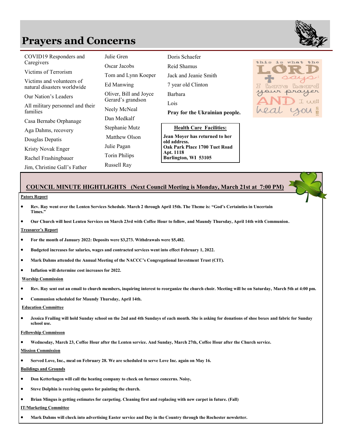## **Prayers and Concerns**

| COVID19 Responders and<br>Caregivers                     | Julie Gren                                  | Doris Schaefer<br>Reid Shamus                                      |  |  |
|----------------------------------------------------------|---------------------------------------------|--------------------------------------------------------------------|--|--|
|                                                          | Oscar Jacobs                                |                                                                    |  |  |
| Victims of Terrorism                                     | Tom and Lynn Koeper                         | Jack and Jeanie Smith                                              |  |  |
| Victims and volunteers of<br>natural disasters worldwide | Ed Manwing                                  | 7 year old Clinton                                                 |  |  |
| Our Nation's Leaders                                     | Oliver, Bill and Joyce<br>Gerard's grandson | <b>Barbara</b>                                                     |  |  |
| All military personnel and their                         |                                             | Lois                                                               |  |  |
| families                                                 | Neely McNeal                                | Pray for the Ukrainian people.                                     |  |  |
| Casa Bernabe Orphanage                                   | Dan Medkalf                                 |                                                                    |  |  |
| Aga Dahms, recovery                                      | Stephanie Mutz                              | <b>Health Care Facilities:</b>                                     |  |  |
| Douglas Depatis                                          | Matthew Olson                               | Jean Moyer has returned to her<br>old address.                     |  |  |
| Kristy Novak Enger                                       | Julie Pagan                                 | Oak Park Place 1700 Tuet Road<br>Apt. 1118<br>Burlington, WI 53105 |  |  |
| Rachel Frashingbauer                                     | <b>Torin Philips</b>                        |                                                                    |  |  |
| Jim, Christine Gall's Father                             | Russell Ray                                 |                                                                    |  |  |



#### **COUNCIL MINUTE HIGHTLIGHTS (Next Council Meeting is Monday, March 21st at 7:00 PM)**

#### **Pators Report**

• **Rev. Ray went over the Lenten Services Schedule. March 2 through April 15th. The Theme is: "God's Certainties in Uncertain Times."**

• **Our Church will host Lenten Services on March 23rd with Coffee Hour to follow, and Maundy Thursday, April 14th with Communion.** 

#### **Treasurer's Report**

- **For the month of January 2022: Deposits were \$3,273. Withdrawals were \$5,482.**
- **Budgeted increases for salaries, wages and contracted services went into effect February 1, 2022.**
- **Mark Dahms attended the Annual Meeting of the NACCC's Congregational Investment Trust (CIT).**
- **Inflation will determine cost increases for 2022.**

**Worship Commission**

- **Rev. Ray sent out an email to church members, inquiring interest to reorganize the church choir. Meeting will be on Saturday, March 5th at 4:00 pm.**
- **Communion scheduled for Maundy Thursday, April 14th.**

#### **Education Committee**

• **Jessica Frailing will hold Sunday school on the 2nd and 4th Sundays of each month. She is asking for donations of shoe boxes and fabric for Sunday school use.**

#### **Fellowship Commisson**

• **Wednesday, March 23, Coffee Hour after the Lenten service. And Sunday, March 27th, Coffee Hour after the Church service.**

#### **Mission Commission**

• **Served Love, Inc., meal on February 28. We are scheduled to serve Love Inc. again on May 16.** 

**Buildings and Grounds**

- **Don Ketterhagen will call the heating company to check on furnace concerns. Noisy,**
- **Steve Dolphin is receiving quotes for painting the church.**
- **Brian Mingus is getting estimates for carpeting. Cleaning first and replacing with new carpet in future. (Fall)**

**IT/Marketing Committee**

• **Mark Dahms will check into advertising Easter service and Day in the Country through the Rochester newsletter.** 

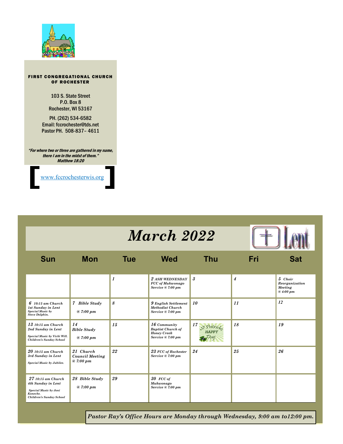

#### FIRST CONGREGATIONAL CHURCH OF ROCHESTER

103 S. State Street P.O. Box 8 Rochester, WI 53167

PH. (262) 534-6582 Email: fccrochester@tds.net Pastor PH. 508-837– 4611

"For where two or three are gathered in my name, there I am in the midst of them." Matthew 18:20

[www.fccrochesterwis.org](http://www.fccrochesterwis.org))

# *March 2022*



| Sun                                                                                                               | <b>Mon</b>                                      | Tue | <b>Wed</b>                                                                            | Thu                                    | Fri | Sat                                              |
|-------------------------------------------------------------------------------------------------------------------|-------------------------------------------------|-----|---------------------------------------------------------------------------------------|----------------------------------------|-----|--------------------------------------------------|
|                                                                                                                   |                                                 | 1   | 2 ASH WEDNESDAY<br><b>FCC</b> of Mukwonago<br>Service @ 7:00 pm                       | $\boldsymbol{\mathcal{S}}$             | 4   | 5 Choir<br>Reorganization<br>Meeting<br>@4:00~pm |
| $6$ 10:15 am Church<br><b>1st Sunday in Lent</b><br><b>Special Music by</b><br><b>Steve Dolphin.</b>              | 7 Bible Study<br>@7:00~pm                       | 8   | 9 English Settlement<br><b>Methodist Church</b><br>Service @ 7:00 pm                  | 10                                     | 11  | 12                                               |
| $13$ 10:15 am Church<br>2nd Sunday in Lent<br>Special Music by Vicki Will.<br>Children's Sunday School            | 14<br><b>Bible Study</b><br>@ 7:00 pm           | 15  | $16$ Community<br><b>Baptist Church of</b><br><b>Honey Creek</b><br>Service @ 7:00 pm | 17<br><i>St Patric</i><br><b>HAPPY</b> | 18  | 19                                               |
| $20$ 10:15 am Church<br>3rd Sunday in Lent<br>Special Music by Jubilee.                                           | 21 Church<br><b>Council Meeting</b><br>@7:00~pm | 22  | 23 FCC of Rochester<br>Service @ 7:00 pm                                              | 24                                     | 25  | 26                                               |
| $2710:15$ am Church<br>4th Sunday in Lent<br><b>Special Music by Joni</b><br>Konecke.<br>Children's Sunday School | 28 Bible Study<br>@7:00~pm                      | 29  | $30$ FCC of<br>Mukwonago<br>Service @ 7:00 pm                                         |                                        |     |                                                  |

*Pastor Ray's Office Hours are Monday through Wednesday, 9:00 am to12:00 pm.*